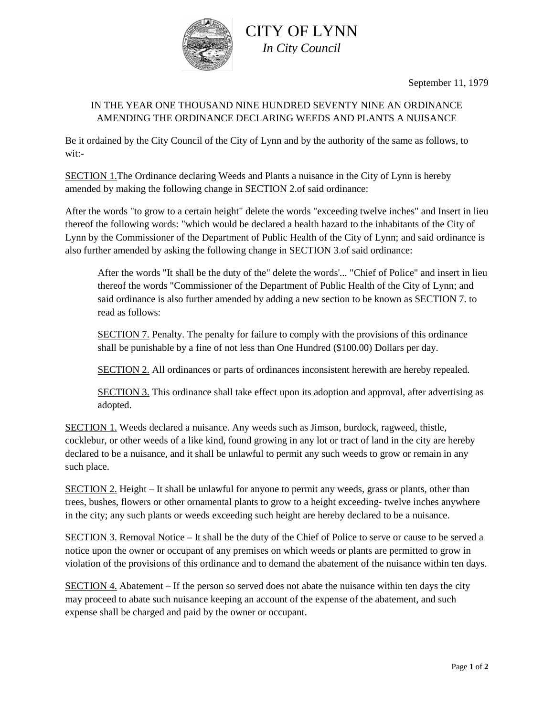

CITY OF LYNN *In City Council*

September 11, 1979

## IN THE YEAR ONE THOUSAND NINE HUNDRED SEVENTY NINE AN ORDINANCE AMENDING THE ORDINANCE DECLARING WEEDS AND PLANTS A NUISANCE

Be it ordained by the City Council of the City of Lynn and by the authority of the same as follows, to wit:-

SECTION 1.The Ordinance declaring Weeds and Plants a nuisance in the City of Lynn is hereby amended by making the following change in SECTION 2.of said ordinance:

After the words "to grow to a certain height" delete the words "exceeding twelve inches" and Insert in lieu thereof the following words: "which would be declared a health hazard to the inhabitants of the City of Lynn by the Commissioner of the Department of Public Health of the City of Lynn; and said ordinance is also further amended by asking the following change in SECTION 3.of said ordinance:

After the words "It shall be the duty of the" delete the words'... "Chief of Police" and insert in lieu thereof the words "Commissioner of the Department of Public Health of the City of Lynn; and said ordinance is also further amended by adding a new section to be known as SECTION 7. to read as follows:

SECTION 7. Penalty. The penalty for failure to comply with the provisions of this ordinance shall be punishable by a fine of not less than One Hundred (\$100.00) Dollars per day.

SECTION 2. All ordinances or parts of ordinances inconsistent herewith are hereby repealed.

SECTION 3. This ordinance shall take effect upon its adoption and approval, after advertising as adopted.

SECTION 1. Weeds declared a nuisance. Any weeds such as Jimson, burdock, ragweed, thistle, cocklebur, or other weeds of a like kind, found growing in any lot or tract of land in the city are hereby declared to be a nuisance, and it shall be unlawful to permit any such weeds to grow or remain in any such place.

SECTION 2. Height – It shall be unlawful for anyone to permit any weeds, grass or plants, other than trees, bushes, flowers or other ornamental plants to grow to a height exceeding- twelve inches anywhere in the city; any such plants or weeds exceeding such height are hereby declared to be a nuisance.

SECTION 3. Removal Notice – It shall be the duty of the Chief of Police to serve or cause to be served a notice upon the owner or occupant of any premises on which weeds or plants are permitted to grow in violation of the provisions of this ordinance and to demand the abatement of the nuisance within ten days.

SECTION  $4$ . Abatement – If the person so served does not abate the nuisance within ten days the city may proceed to abate such nuisance keeping an account of the expense of the abatement, and such expense shall be charged and paid by the owner or occupant.